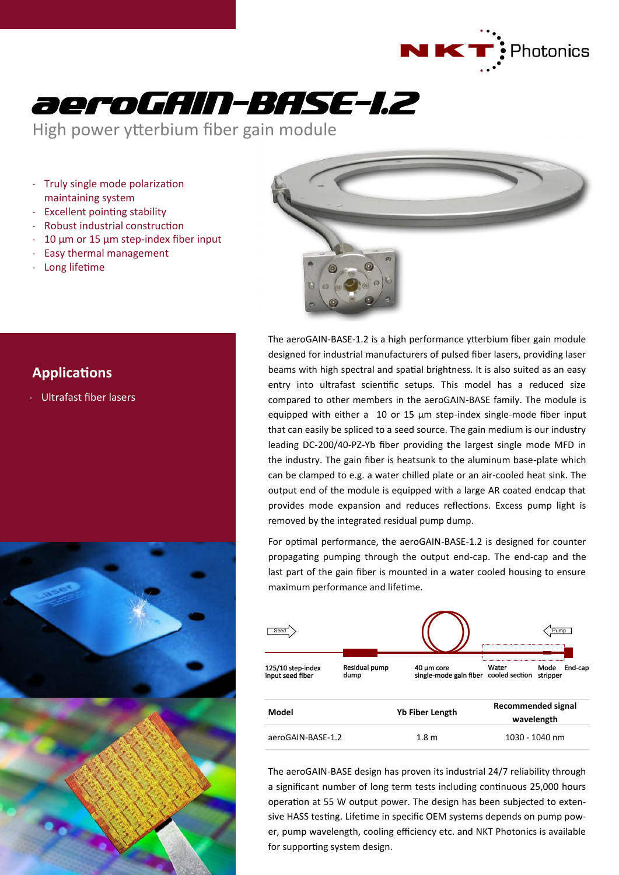



High power ytterbium fiber gain module

- Truly single mode polarization maintaining system
- Excellent pointing stability
- Robust industrial construction
- $10 \mu m$  or  $15 \mu m$  step-index fiber input
- Easy thermal management
- Long lifetime



# **Applications**

Ultrafast fiber lasers



The aeroGAIN-BASE-1.2 is a high performance ytterbium fiber gain module designed for industrial manufacturers of pulsed fiber lasers, providing laser beams with high spectral and spatial brightness. It is also suited as an easy entry into ultrafast scientific setups. This model has a reduced size compared to other members in the aeroGAIN-BASE family. The module is equipped with either a 10 or 15 µm step-index single-mode fiber input that can easily be spliced to a seed source. The gain medium is our industry leading DC-200/40-PZ-Yb fiber providing the largest single mode MFD in the industry. The gain fiber is heatsunk to the aluminum base-plate which can be clamped to e.g. a water chilled plate or an air-cooled heat sink. The output end of the module is equipped with a large AR coated endcap that provides mode expansion and reduces reflections. Excess pump light is removed by the integrated residual pump dump.

For optimal performance, the aeroGAIN-BASE-1.2 is designed for counter propagating pumping through the output end-cap. The end-cap and the last part of the gain fiber is mounted in a water cooled housing to ensure maximum performance and lifetime.



The aeroGAIN-BASE design has proven its industrial 24/7 reliability through a significant number of long term tests including continuous 25,000 hours operation at 55 W output power. The design has been subjected to extensive HASS testing. Lifetime in specific OEM systems depends on pump power, pump wavelength, cooling efficiency etc. and NKT Photonics is available for supporting system design.